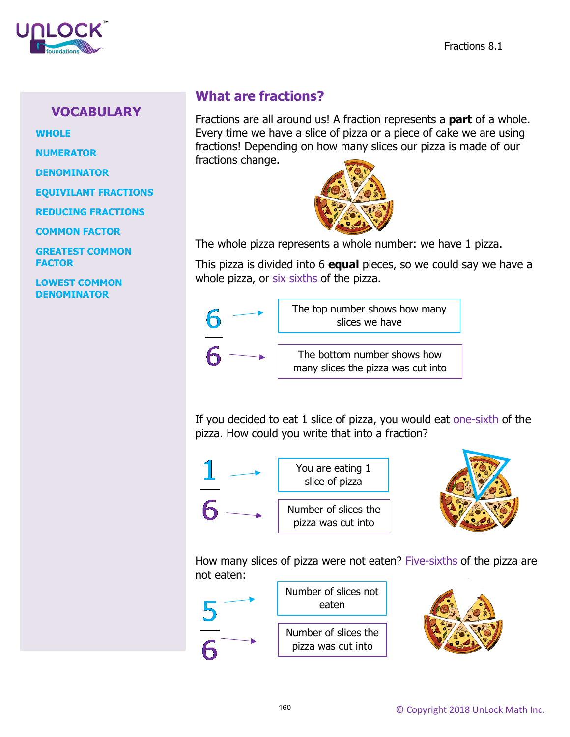

## **VOCABULARY**

**WHOLE**

**NUMERATOR**

**DENOMINATOR**

**EQUIVILANT FRACTIONS**

**REDUCING FRACTIONS**

**COMMON FACTOR**

**GREATEST COMMON FACTOR**

**LOWEST COMMON DENOMINATOR**

## **What are fractions?**

Fractions are all around us! A fraction represents a **part** of a whole. Every time we have a slice of pizza or a piece of cake we are using fractions! Depending on how many slices our pizza is made of our fractions change.



The whole pizza represents a whole number: we have 1 pizza.

This pizza is divided into 6 **equal** pieces, so we could say we have a whole pizza, or six sixths of the pizza.



If you decided to eat 1 slice of pizza, you would eat one-sixth of the pizza. How could you write that into a fraction?



How many slices of pizza were not eaten? Five-sixths of the pizza are not eaten: